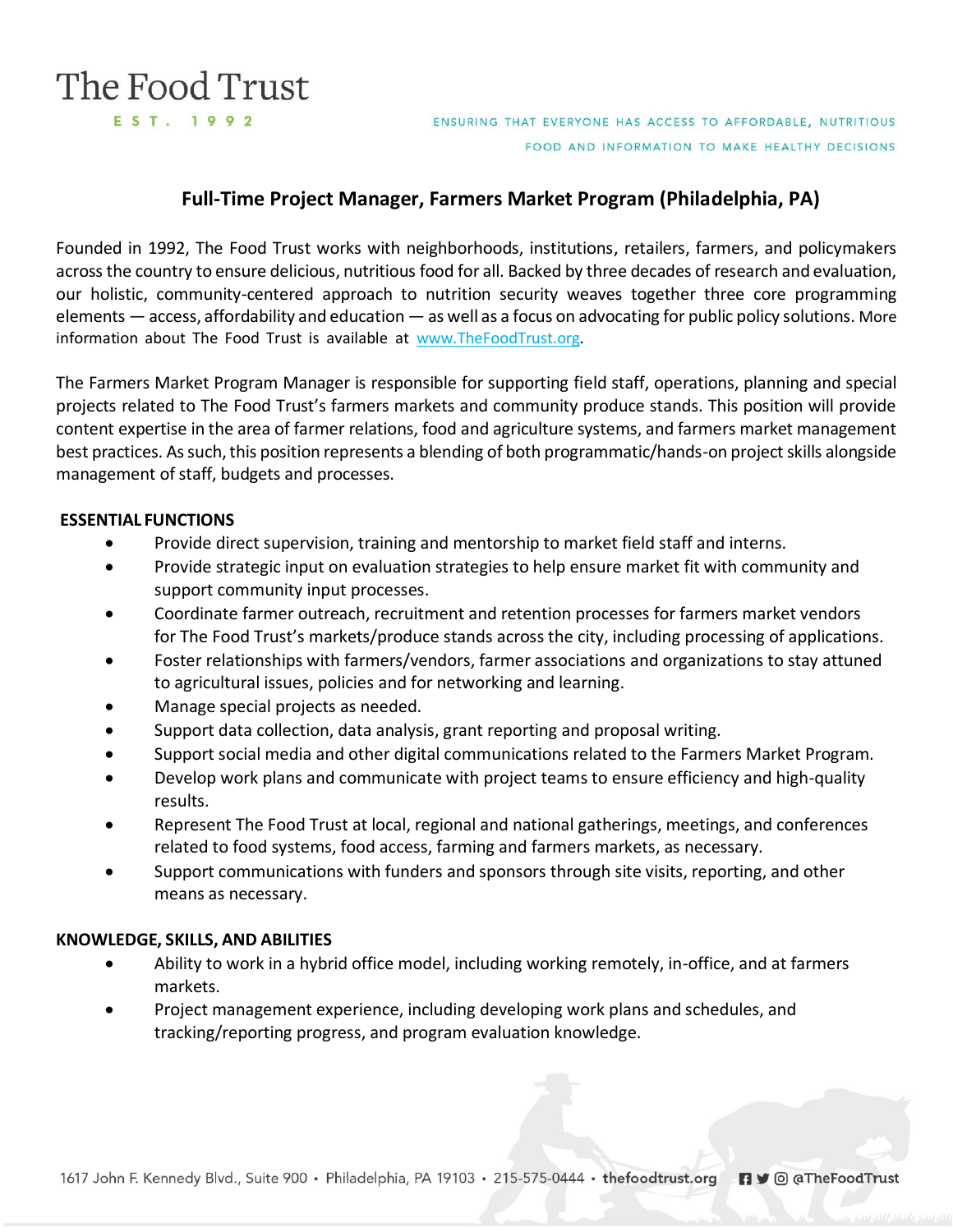# The Food Trust EST. 1992

ENSURING THAT EVERYONE HAS ACCESS TO AFFORDABLE, NUTRITIOUS FOOD AND INFORMATION TO MAKE HEALTHY DECISIONS

## **Full-Time Project Manager, Farmers Market Program (Philadelphia, PA)**

Founded in 1992, The Food Trust works with neighborhoods, institutions, retailers, farmers, and policymakers across the country to ensure delicious, nutritious food for all. Backed by three decades of research and evaluation, our holistic, community-centered approach to nutrition security weaves together three core programming elements — access, affordability and education — as well as a focus on advocating for public policy solutions. More information about The Food Trust is available at [www.TheFoodTrust.org.](http://www.thefoodtrust.org/)

The Farmers Market Program Manager is responsible for supporting field staff, operations, planning and special projects related to The Food Trust's farmers markets and community produce stands. This position will provide content expertise in the area of farmer relations, food and agriculture systems, and farmers market management best practices. As such, this position represents a blending of both programmatic/hands-on project skills alongside management of staff, budgets and processes.

#### **ESSENTIAL FUNCTIONS**

- Provide direct supervision, training and mentorship to market field staff and interns.
- Provide strategic input on evaluation strategies to help ensure market fit with community and support community input processes.
- Coordinate farmer outreach, recruitment and retention processes for farmers market vendors for The Food Trust's markets/produce stands across the city, including processing of applications.
- Foster relationships with farmers/vendors, farmer associations and organizations to stay attuned to agricultural issues, policies and for networking and learning.
- Manage special projects as needed.
- Support data collection, data analysis, grant reporting and proposal writing.
- Support social media and other digital communications related to the Farmers Market Program.
- Develop work plans and communicate with project teams to ensure efficiency and high-quality results.
- Represent The Food Trust at local, regional and national gatherings, meetings, and conferences related to food systems, food access, farming and farmers markets, as necessary.
- Support communications with funders and sponsors through site visits, reporting, and other means as necessary.

#### **KNOWLEDGE, SKILLS, AND ABILITIES**

- Ability to work in a hybrid office model, including working remotely, in-office, and at farmers markets.
- Project management experience, including developing work plans and schedules, and tracking/reporting progress, and program evaluation knowledge.